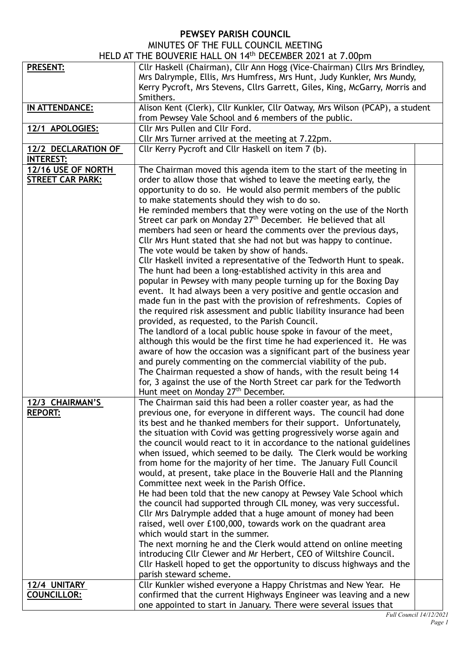## **PEWSEY PARISH COUNCIL**

| MINUTES OF THE FULL COUNCIL MEETING         |  |  |
|---------------------------------------------|--|--|
| AT THE DOUVEDIE HALL ON 4 4th DECEMBED 2024 |  |  |

|                         | HELD AT THE BOUVERIE HALL ON 14th DECEMBER 2021 at 7.00pm                                                                                                                                                                                        |  |
|-------------------------|--------------------------------------------------------------------------------------------------------------------------------------------------------------------------------------------------------------------------------------------------|--|
| <b>PRESENT:</b>         | Cllr Haskell (Chairman), Cllr Ann Hogg (Vice-Chairman) Cllrs Mrs Brindley,<br>Mrs Dalrymple, Ellis, Mrs Humfress, Mrs Hunt, Judy Kunkler, Mrs Mundy,<br>Kerry Pycroft, Mrs Stevens, Cllrs Garrett, Giles, King, McGarry, Morris and<br>Smithers. |  |
| IN ATTENDANCE:          | Alison Kent (Clerk), Cllr Kunkler, Cllr Oatway, Mrs Wilson (PCAP), a student                                                                                                                                                                     |  |
|                         | from Pewsey Vale School and 6 members of the public.                                                                                                                                                                                             |  |
| 12/1 APOLOGIES:         | <b>Cllr Mrs Pullen and Cllr Ford.</b>                                                                                                                                                                                                            |  |
|                         | Cllr Mrs Turner arrived at the meeting at 7.22pm.                                                                                                                                                                                                |  |
| 12/2 DECLARATION OF     | Cllr Kerry Pycroft and Cllr Haskell on item 7 (b).                                                                                                                                                                                               |  |
| <b>INTEREST:</b>        |                                                                                                                                                                                                                                                  |  |
| 12/16 USE OF NORTH      | The Chairman moved this agenda item to the start of the meeting in                                                                                                                                                                               |  |
| <b>STREET CAR PARK:</b> | order to allow those that wished to leave the meeting early, the                                                                                                                                                                                 |  |
|                         | opportunity to do so. He would also permit members of the public                                                                                                                                                                                 |  |
|                         | to make statements should they wish to do so.                                                                                                                                                                                                    |  |
|                         | He reminded members that they were voting on the use of the North                                                                                                                                                                                |  |
|                         | Street car park on Monday 27 <sup>th</sup> December. He believed that all                                                                                                                                                                        |  |
|                         | members had seen or heard the comments over the previous days,                                                                                                                                                                                   |  |
|                         | Cllr Mrs Hunt stated that she had not but was happy to continue.                                                                                                                                                                                 |  |
|                         | The vote would be taken by show of hands.                                                                                                                                                                                                        |  |
|                         | Cllr Haskell invited a representative of the Tedworth Hunt to speak.<br>The hunt had been a long-established activity in this area and                                                                                                           |  |
|                         | popular in Pewsey with many people turning up for the Boxing Day                                                                                                                                                                                 |  |
|                         | event. It had always been a very positive and gentle occasion and                                                                                                                                                                                |  |
|                         | made fun in the past with the provision of refreshments. Copies of                                                                                                                                                                               |  |
|                         | the required risk assessment and public liability insurance had been                                                                                                                                                                             |  |
|                         | provided, as requested, to the Parish Council.                                                                                                                                                                                                   |  |
|                         | The landlord of a local public house spoke in favour of the meet,                                                                                                                                                                                |  |
|                         | although this would be the first time he had experienced it. He was                                                                                                                                                                              |  |
|                         | aware of how the occasion was a significant part of the business year                                                                                                                                                                            |  |
|                         | and purely commenting on the commercial viability of the pub.                                                                                                                                                                                    |  |
|                         | The Chairman requested a show of hands, with the result being 14                                                                                                                                                                                 |  |
|                         | for, 3 against the use of the North Street car park for the Tedworth                                                                                                                                                                             |  |
|                         | Hunt meet on Monday 27 <sup>th</sup> December.                                                                                                                                                                                                   |  |
| 12/3 CHAIRMAN'S         | The Chairman said this had been a roller coaster year, as had the                                                                                                                                                                                |  |
| <b>REPORT:</b>          | previous one, for everyone in different ways. The council had done                                                                                                                                                                               |  |
|                         | its best and he thanked members for their support. Unfortunately,                                                                                                                                                                                |  |
|                         | the situation with Covid was getting progressively worse again and                                                                                                                                                                               |  |
|                         | the council would react to it in accordance to the national guidelines                                                                                                                                                                           |  |
|                         | when issued, which seemed to be daily. The Clerk would be working<br>from home for the majority of her time. The January Full Council                                                                                                            |  |
|                         | would, at present, take place in the Bouverie Hall and the Planning                                                                                                                                                                              |  |
|                         | Committee next week in the Parish Office.                                                                                                                                                                                                        |  |
|                         | He had been told that the new canopy at Pewsey Vale School which                                                                                                                                                                                 |  |
|                         | the council had supported through CIL money, was very successful.                                                                                                                                                                                |  |
|                         | Cllr Mrs Dalrymple added that a huge amount of money had been                                                                                                                                                                                    |  |
|                         | raised, well over £100,000, towards work on the quadrant area                                                                                                                                                                                    |  |
|                         | which would start in the summer.                                                                                                                                                                                                                 |  |
|                         | The next morning he and the Clerk would attend on online meeting                                                                                                                                                                                 |  |
|                         | introducing Cllr Clewer and Mr Herbert, CEO of Wiltshire Council.                                                                                                                                                                                |  |
|                         | Cllr Haskell hoped to get the opportunity to discuss highways and the                                                                                                                                                                            |  |
|                         | parish steward scheme.                                                                                                                                                                                                                           |  |
| 12/4 UNITARY            | Cllr Kunkler wished everyone a Happy Christmas and New Year. He                                                                                                                                                                                  |  |
| <b>COUNCILLOR:</b>      | confirmed that the current Highways Engineer was leaving and a new                                                                                                                                                                               |  |
|                         | one appointed to start in January. There were several issues that                                                                                                                                                                                |  |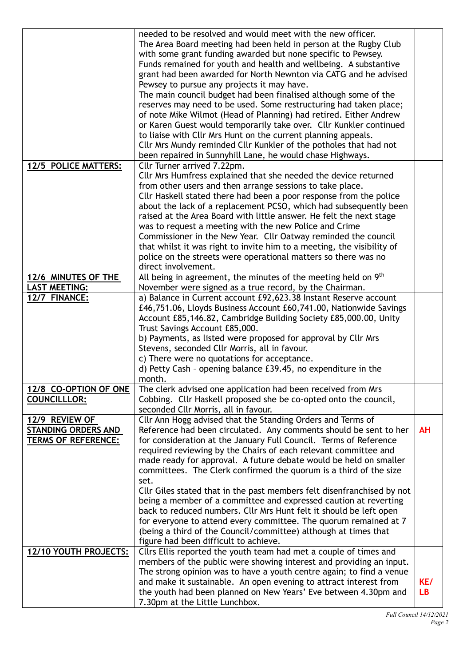|                            | needed to be resolved and would meet with the new officer.             |           |
|----------------------------|------------------------------------------------------------------------|-----------|
|                            | The Area Board meeting had been held in person at the Rugby Club       |           |
|                            | with some grant funding awarded but none specific to Pewsey.           |           |
|                            | Funds remained for youth and health and wellbeing. A substantive       |           |
|                            | grant had been awarded for North Newnton via CATG and he advised       |           |
|                            | Pewsey to pursue any projects it may have.                             |           |
|                            | The main council budget had been finalised although some of the        |           |
|                            | reserves may need to be used. Some restructuring had taken place;      |           |
|                            | of note Mike Wilmot (Head of Planning) had retired. Either Andrew      |           |
|                            | or Karen Guest would temporarily take over. Cllr Kunkler continued     |           |
|                            | to liaise with Cllr Mrs Hunt on the current planning appeals.          |           |
|                            | Cllr Mrs Mundy reminded Cllr Kunkler of the potholes that had not      |           |
|                            | been repaired in Sunnyhill Lane, he would chase Highways.              |           |
| 12/5 POLICE MATTERS:       | Cllr Turner arrived 7.22pm.                                            |           |
|                            | Cllr Mrs Humfress explained that she needed the device returned        |           |
|                            | from other users and then arrange sessions to take place.              |           |
|                            | Cllr Haskell stated there had been a poor response from the police     |           |
|                            | about the lack of a replacement PCSO, which had subsequently been      |           |
|                            | raised at the Area Board with little answer. He felt the next stage    |           |
|                            | was to request a meeting with the new Police and Crime                 |           |
|                            | Commissioner in the New Year. Cllr Oatway reminded the council         |           |
|                            | that whilst it was right to invite him to a meeting, the visibility of |           |
|                            | police on the streets were operational matters so there was no         |           |
|                            | direct involvement.                                                    |           |
| 12/6 MINUTES OF THE        | All being in agreement, the minutes of the meeting held on $9th$       |           |
| <b>LAST MEETING:</b>       | November were signed as a true record, by the Chairman.                |           |
| 12/7 FINANCE:              | a) Balance in Current account £92,623.38 Instant Reserve account       |           |
|                            | £46,751.06, Lloyds Business Account £60,741.00, Nationwide Savings     |           |
|                            | Account £85,146.82, Cambridge Building Society £85,000.00, Unity       |           |
|                            | Trust Savings Account £85,000.                                         |           |
|                            | b) Payments, as listed were proposed for approval by Cllr Mrs          |           |
|                            | Stevens, seconded Cllr Morris, all in favour.                          |           |
|                            | c) There were no quotations for acceptance.                            |           |
|                            | d) Petty Cash - opening balance £39.45, no expenditure in the          |           |
|                            | month.                                                                 |           |
| 12/8 CO-OPTION OF ONE      | The clerk advised one application had been received from Mrs           |           |
| <b>COUNCILLLOR:</b>        | Cobbing. Cllr Haskell proposed she be co-opted onto the council,       |           |
|                            | seconded Cllr Morris, all in favour.                                   |           |
| 12/9 REVIEW OF             | Cllr Ann Hogg advised that the Standing Orders and Terms of            |           |
| <b>STANDING ORDERS AND</b> | Reference had been circulated. Any comments should be sent to her      | <b>AH</b> |
| <b>TERMS OF REFERENCE:</b> | for consideration at the January Full Council. Terms of Reference      |           |
|                            | required reviewing by the Chairs of each relevant committee and        |           |
|                            | made ready for approval. A future debate would be held on smaller      |           |
|                            | committees. The Clerk confirmed the quorum is a third of the size      |           |
|                            | set.                                                                   |           |
|                            | Cllr Giles stated that in the past members felt disenfranchised by not |           |
|                            | being a member of a committee and expressed caution at reverting       |           |
|                            | back to reduced numbers. Cllr Mrs Hunt felt it should be left open     |           |
|                            | for everyone to attend every committee. The quorum remained at 7       |           |
|                            | (being a third of the Council/committee) although at times that        |           |
|                            | figure had been difficult to achieve.                                  |           |
| 12/10 YOUTH PROJECTS:      | Cllrs Ellis reported the youth team had met a couple of times and      |           |
|                            | members of the public were showing interest and providing an input.    |           |
|                            | The strong opinion was to have a youth centre again; to find a venue   |           |
|                            | and make it sustainable. An open evening to attract interest from      | KE/       |
|                            | the youth had been planned on New Years' Eve between 4.30pm and        | <b>LB</b> |
|                            | 7.30pm at the Little Lunchbox.                                         |           |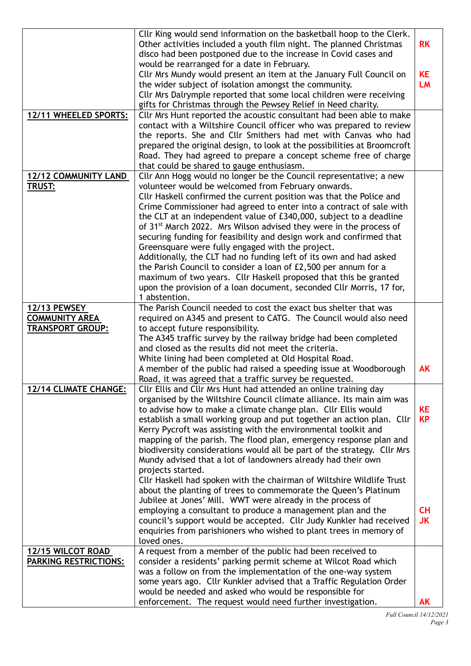|                                                                         | Cllr King would send information on the basketball hoop to the Clerk.<br>Other activities included a youth film night. The planned Christmas<br>disco had been postponed due to the increase in Covid cases and                                                                                                                                                                                                                                                                                                                                                                                                                                                                                                                                                                                                                                                 | <b>RK</b>              |
|-------------------------------------------------------------------------|-----------------------------------------------------------------------------------------------------------------------------------------------------------------------------------------------------------------------------------------------------------------------------------------------------------------------------------------------------------------------------------------------------------------------------------------------------------------------------------------------------------------------------------------------------------------------------------------------------------------------------------------------------------------------------------------------------------------------------------------------------------------------------------------------------------------------------------------------------------------|------------------------|
|                                                                         | would be rearranged for a date in February.<br>Cllr Mrs Mundy would present an item at the January Full Council on<br>the wider subject of isolation amongst the community.<br>Cllr Mrs Dalrymple reported that some local children were receiving<br>gifts for Christmas through the Pewsey Relief in Need charity.                                                                                                                                                                                                                                                                                                                                                                                                                                                                                                                                            | <b>KE</b><br><b>LM</b> |
| 12/11 WHEELED SPORTS:                                                   | Cllr Mrs Hunt reported the acoustic consultant had been able to make<br>contact with a Wiltshire Council officer who was prepared to review<br>the reports. She and Cllr Smithers had met with Canvas who had<br>prepared the original design, to look at the possibilities at Broomcroft<br>Road. They had agreed to prepare a concept scheme free of charge<br>that could be shared to gauge enthusiasm.                                                                                                                                                                                                                                                                                                                                                                                                                                                      |                        |
| <b>12/12 COMMUNITY LAND</b><br><b>TRUST:</b>                            | Cllr Ann Hogg would no longer be the Council representative; a new<br>volunteer would be welcomed from February onwards.<br>Cllr Haskell confirmed the current position was that the Police and<br>Crime Commissioner had agreed to enter into a contract of sale with<br>the CLT at an independent value of £340,000, subject to a deadline<br>of 31 <sup>st</sup> March 2022. Mrs Wilson advised they were in the process of<br>securing funding for feasibility and design work and confirmed that<br>Greensquare were fully engaged with the project.<br>Additionally, the CLT had no funding left of its own and had asked<br>the Parish Council to consider a loan of £2,500 per annum for a<br>maximum of two years. Cllr Haskell proposed that this be granted<br>upon the provision of a loan document, seconded Cllr Morris, 17 for,<br>1 abstention. |                        |
| <b>12/13 PEWSEY</b><br><b>COMMUNITY AREA</b><br><b>TRANSPORT GROUP:</b> | The Parish Council needed to cost the exact bus shelter that was<br>required on A345 and present to CATG. The Council would also need<br>to accept future responsibility.<br>The A345 traffic survey by the railway bridge had been completed<br>and closed as the results did not meet the criteria.<br>White lining had been completed at Old Hospital Road.                                                                                                                                                                                                                                                                                                                                                                                                                                                                                                  |                        |
|                                                                         | A member of the public had raised a speeding issue at Woodborough<br>Road, it was agreed that a traffic survey be requested.                                                                                                                                                                                                                                                                                                                                                                                                                                                                                                                                                                                                                                                                                                                                    | <b>AK</b>              |
| <b>12/14 CLIMATE CHANGE:</b>                                            | Cllr Ellis and Cllr Mrs Hunt had attended an online training day<br>organised by the Wiltshire Council climate alliance. Its main aim was<br>to advise how to make a climate change plan. Cllr Ellis would<br>establish a small working group and put together an action plan. Cllr<br>Kerry Pycroft was assisting with the environmental toolkit and<br>mapping of the parish. The flood plan, emergency response plan and<br>biodiversity considerations would all be part of the strategy. Cllr Mrs<br>Mundy advised that a lot of landowners already had their own                                                                                                                                                                                                                                                                                          | <b>KE</b><br><b>KP</b> |
|                                                                         | projects started.<br>Cllr Haskell had spoken with the chairman of Wiltshire Wildlife Trust<br>about the planting of trees to commemorate the Queen's Platinum<br>Jubilee at Jones' Mill. WWT were already in the process of<br>employing a consultant to produce a management plan and the<br>council's support would be accepted. Cllr Judy Kunkler had received<br>enquiries from parishioners who wished to plant trees in memory of<br>loved ones.                                                                                                                                                                                                                                                                                                                                                                                                          | CH<br><b>JK</b>        |
| 12/15 WILCOT ROAD<br><b>PARKING RESTRICTIONS:</b>                       | A request from a member of the public had been received to<br>consider a residents' parking permit scheme at Wilcot Road which<br>was a follow on from the implementation of the one-way system<br>some years ago. Cllr Kunkler advised that a Traffic Regulation Order<br>would be needed and asked who would be responsible for<br>enforcement. The request would need further investigation.                                                                                                                                                                                                                                                                                                                                                                                                                                                                 | <b>AK</b>              |